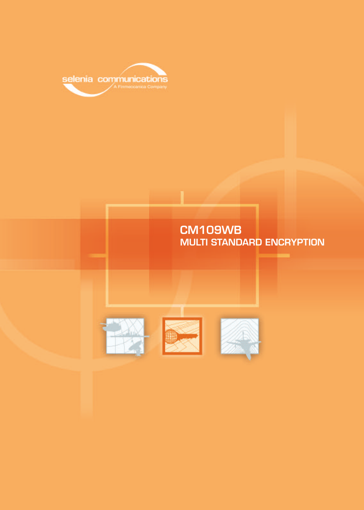

# **CM109WB MULTI STANDARD ENCRYPTION**





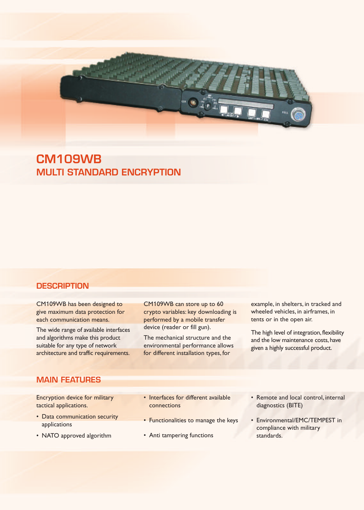

**CM109WB MULTI STANDARD ENCRYPTION**

## **DESCRIPTION**

CM109WB has been designed to give maximum data protection for each communication means.

The wide range of available interfaces and algorithms make this product suitable for any type of network architecture and traffic requirements.

CM109WB can store up to 60 crypto variables: key downloading is performed by a mobile transfer device (reader or fill gun).

The mechanical structure and the environmental performance allows for different installation types, for

example, in shelters, in tracked and wheeled vehicles, in airframes, in tents or in the open air.

The high level of integration, flexibility and the low maintenance costs, have given a highly successful product.

# **MAIN FEATURES**

Encryption device for military tactical applications.

- Data communication security applications
- NATO approved algorithm
- Interfaces for different available connections
- Functionalities to manage the keys
- Anti tampering functions
- Remote and local control, internal diagnostics (BITE)
- Environmental/EMC/TEMPEST in compliance with military standards.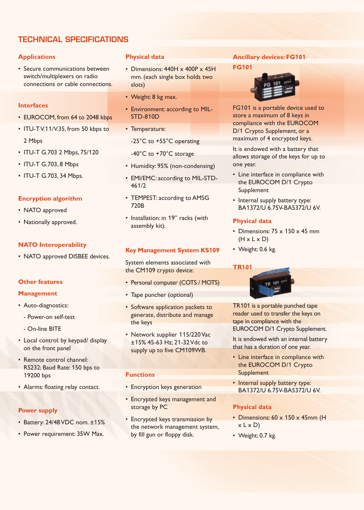# **TECHNICAL SPECIFICATIONS**

## **Applications**

• Secure communications between switch/multiplexers on radio connections or cable connections.

#### **Interfaces**

- EUROCOM, from 64 to 2048 kbps
- ITU-T V.11/V.35, from 50 kbps to 2 Mbps
- ITU-T G.703 2 Mbps, 75/120
- ITU-T G.703, 8 Mbps
- ITU-T G.703, 34 Mbps.

## **Encryption algorithm**

- NATO approved
- Nationally approved.

#### **NATO Interoperability**

• NATO approved DISBEE devices.

#### **Other features**

#### **Management**

- Auto-diagnostics:
	- Power-on self-test
	- On-line BITE
- Local control: by keypad/ display on the front panel
- Remote control channel: RS232; Baud Rate: 150 bps to 19200 bps
- Alarms: floating relay contact.

#### **Power supply**

- Battery: 24/48 VDC nom. ±15%
- Power requirement: 35W Max.

#### **Physical data**

- Dimensions: 440H x 400P x 45H mm. (each single box holds two slots)
- Weight: 8 kg max.
- Environment: according to MIL-STD-810D
- Temperature:
	- -25°C to +55°C operating
	- -40°C to +70°C storage
- Humidity: 95% (non-condensing)
- EMI/EMC: according to MIL-STD-461/2
- TEMPEST: according to AMSG 720B
- Installation: in 19" racks (with assembly kit).

#### **Key Management System KS109**

System elements associated with the CM109 crypto device:

- Personal computer (COTS / MOTS)
- Tape puncher (optional)
- Software application packets to generate, distribute and manage the keys
- Network supplier 115/220 Vac ±15% 45-63 Hz; 21-32 Vdc to supply up to five CM109WB.

#### **Functions**

- Encryption keys generation
- Encrypted keys management and storage by PC
- Encrypted keys transmission by the network management system, by fill gun or floppy disk.

#### **Ancillary devices: FG101**

**FG101**



FG101 is a portable device used to store a maximum of 8 keys in compliance with the EUROCOM D/1 Crypto Supplement, or a maximum of 4 encrypted keys.

It is endowed with a battery that allows storage of the keys for up to one year.

- Line interface in compliance with the EUROCOM D/1 Crypto Supplement
- Internal supply battery type: BA1372/U 6.75V-BA5372/U 6V.

#### **Physical data**

- Dimensions:  $75 \times 150 \times 45$  mm  $(H \times L \times D)$
- Weight: 0.6 kg.

#### **TR101**



TR101 is a portable punched tape reader used to transfer the keys on tape in compliance with the EUROCOM D/1 Crypto Supplement.

It is endowed with an internal battery that has a duration of one year.

- Line interface in compliance with the EUROCOM D/1 Crypto **Supplement**
- Internal supply battery type: BA1372/U 6.75V-BA5372/U 6V.

## **Physical data**

- Dimensions: 60 x 150 x 45mm (H  $x$  L  $x$  D)
- Weight: 0.7 kg.